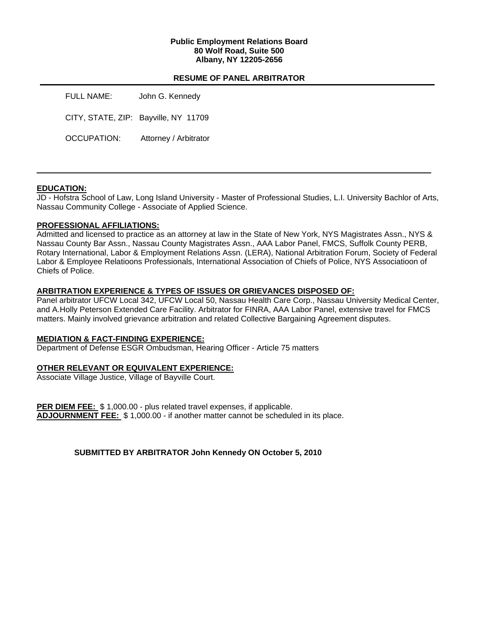## **Public Employment Relations Board 80 Wolf Road, Suite 500 Albany, NY 12205-2656**

## **RESUME OF PANEL ARBITRATOR**

| FULL NAME:  | John G. Kennedy                      |
|-------------|--------------------------------------|
|             | CITY, STATE, ZIP: Bayville, NY 11709 |
| OCCUPATION: | Attorney / Arbitrator                |

## **EDUCATION:**

JD - Hofstra School of Law, Long Island University - Master of Professional Studies, L.I. University Bachlor of Arts, Nassau Community College - Associate of Applied Science.

## **PROFESSIONAL AFFILIATIONS:**

Admitted and licensed to practice as an attorney at law in the State of New York, NYS Magistrates Assn., NYS & Nassau County Bar Assn., Nassau County Magistrates Assn., AAA Labor Panel, FMCS, Suffolk County PERB, Rotary International, Labor & Employment Relations Assn. (LERA), National Arbitration Forum, Society of Federal Labor & Employee Relatioons Professionals, International Association of Chiefs of Police, NYS Associatioon of Chiefs of Police.

## **ARBITRATION EXPERIENCE & TYPES OF ISSUES OR GRIEVANCES DISPOSED OF:**

Panel arbitrator UFCW Local 342, UFCW Local 50, Nassau Health Care Corp., Nassau University Medical Center, and A.Holly Peterson Extended Care Facility. Arbitrator for FINRA, AAA Labor Panel, extensive travel for FMCS matters. Mainly involved grievance arbitration and related Collective Bargaining Agreement disputes.

## **MEDIATION & FACT-FINDING EXPERIENCE:**

Department of Defense ESGR Ombudsman, Hearing Officer - Article 75 matters

## **OTHER RELEVANT OR EQUIVALENT EXPERIENCE:**

Associate Village Justice, Village of Bayville Court.

PER DIEM FEE: \$ 1,000.00 - plus related travel expenses, if applicable. **ADJOURNMENT FEE:** \$ 1,000.00 - if another matter cannot be scheduled in its place.

**SUBMITTED BY ARBITRATOR John Kennedy ON October 5, 2010**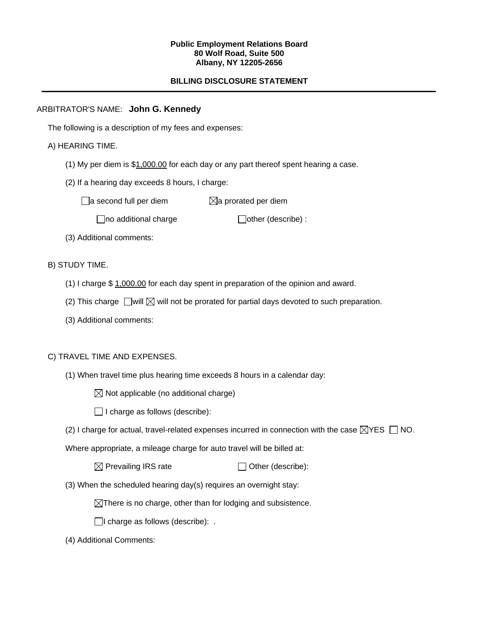#### **Public Employment Relations Board 80 Wolf Road, Suite 500 Albany, NY 12205-2656**

# **BILLING DISCLOSURE STATEMENT**

## ARBITRATOR'S NAME: **John G. Kennedy**

The following is a description of my fees and expenses:

## A) HEARING TIME.

- (1) My per diem is \$1,000.00 for each day or any part thereof spent hearing a case.
- (2) If a hearing day exceeds 8 hours, I charge:

 $\Box$ a second full per diem  $\boxtimes$ a prorated per diem

 $\Box$ no additional charge  $\Box$ other (describe) :

(3) Additional comments:

B) STUDY TIME.

- (1) I charge \$ 1,000.00 for each day spent in preparation of the opinion and award.
- (2) This charge  $\Box$  will  $\boxtimes$  will not be prorated for partial days devoted to such preparation.
- (3) Additional comments:

## C) TRAVEL TIME AND EXPENSES.

- (1) When travel time plus hearing time exceeds 8 hours in a calendar day:
	- $\boxtimes$  Not applicable (no additional charge)
	- $\Box$  I charge as follows (describe):
- (2) I charge for actual, travel-related expenses incurred in connection with the case  $\boxtimes$ YES  $\Box$  NO.

Where appropriate, a mileage charge for auto travel will be billed at:

 $\boxtimes$  Prevailing IRS rate  $\Box$  Other (describe):

(3) When the scheduled hearing day(s) requires an overnight stay:

 $\boxtimes$ There is no charge, other than for lodging and subsistence.

 $\Box$ I charge as follows (describe): .

(4) Additional Comments: